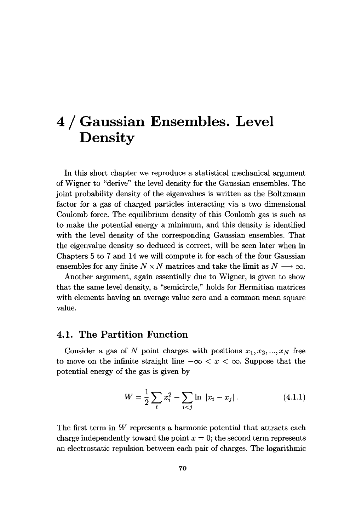# 4 / Gaussian Ensembles. Level Density

In this short chapter we reproduce a statistical mechanical argument of Wigner to "derive" the level density for the Gaussian ensembles. The joint probability density of the eigenvalues is written as the Boltzmann factor for a gas of charged particles interacting via a two dimensional Coulomb force. The equilibrium density of this Coulomb gas is such as to make the potential energy a minimum, and this density is identified with the level density of the corresponding Gaussian ensembles. That the eigenvalue density so deduced is correct, will be seen later when in Chapters 5 to 7 and 14 we will compute it for each of the four Gaussian ensembles for any finite  $N \times N$  matrices and take the limit as  $N \longrightarrow \infty$ .

Another argument, again essentially due to Wigner, is given to show that the same level density, a "semicircle," holds for Hermitian matrices with elements having an average value zero and a common mean square value.

#### **4.1. The Partition Function**

Consider a gas of N point charges with positions  $x_1, x_2, ..., x_N$  free to move on the infinite straight line  $-\infty < x < \infty$ . Suppose that the potential energy of the gas is given by

$$
W = \frac{1}{2} \sum_{i} x_i^2 - \sum_{i < j} \ln |x_i - x_j| \,. \tag{4.1.1}
$$

The first term in *W* represents a harmonic potential that attracts each charge independently toward the point  $x = 0$ ; the second term represents an electrostatic repulsion between each pair of charges. The logarithmic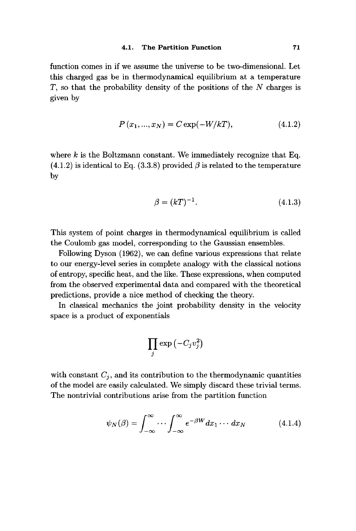function comes in if we assume the universe to be two-dimensional. Let this charged gas be in thermodynamical equilibrium at a temperature T, so that the probability density of the positions of the *N* charges is given by

$$
P(x_1, ..., x_N) = C \exp(-W/kT), \qquad (4.1.2)
$$

where *k* is the Boltzmann constant. We immediately recognize that Eq.  $(4.1.2)$  is identical to Eq.  $(3.3.8)$  provided  $\beta$  is related to the temperature by

$$
\beta = (kT)^{-1}.
$$
 (4.1.3)

This system of point charges in thermodynamical equilibrium is called the Coulomb gas model, corresponding to the Gaussian ensembles.

Following Dyson (1962), we can define various expressions that relate to our energy-level series in complete analogy with the classical notions of entropy, specific heat, and the like. These expressions, when computed from the observed experimental data and compared with the theoretical predictions, provide a nice method of checking the theory.

In classical mechanics the joint probability density in the velocity space is a product of exponentials

$$
\prod_j \exp\left(-C_jv_j^2\right)
$$

with constant  $C_j$ , and its contribution to the thermodynamic quantities of the model are easily calculated. We simply discard these trivial terms. The nontrivial contributions arise from the partition function

$$
\psi_N(\beta) = \int_{-\infty}^{\infty} \cdots \int_{-\infty}^{\infty} e^{-\beta W} dx_1 \cdots dx_N \qquad (4.1.4)
$$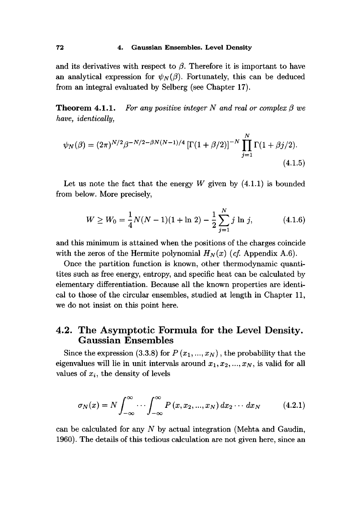and its derivatives with respect to  $\beta$ . Therefore it is important to have an analytical expression for  $\psi_N(\beta)$ . Fortunately, this can be deduced from an integral evaluated by Selberg (see Chapter 17).

**Theorem 4.1.1.** *For any positive integer N and real or complex β we have, identically,* 

$$
\psi_N(\beta) = (2\pi)^{N/2} \beta^{-N/2 - \beta N(N-1)/4} \left[ \Gamma(1+\beta/2) \right]^{-N} \prod_{j=1}^N \Gamma(1+\beta j/2).
$$
\n(4.1.5)

Let us note the fact that the energy  $W$  given by  $(4.1.1)$  is bounded from below. More precisely,

$$
W \ge W_0 = \frac{1}{4}N(N-1)(1+\ln 2) - \frac{1}{2}\sum_{j=1}^{N} j \ln j,
$$
 (4.1.6)

and this minimum is attained when the positions of the charges coincide with the zeros of the Hermite polynomial  $H_N(x)$  (*cf.* Appendix A.6).

Once the partition function is known, other thermodynamic quantitites such as free energy, entropy, and specific heat can be calculated by elementary differentiation. Because all the known properties are identical to those of the circular ensembles, studied at length in Chapter 11, we do not insist on this point here.

## **4.2. The Asymptotic Formula for the Level Density. Gaussian Ensembles**

Since the expression  $(3.3.8)$  for  $P(x_1,...,x_N)$ , the probability that the eigenvalues will lie in unit intervals around  $x_1, x_2, ..., x_N$ , is valid for all values of *Χι*, the density of levels

$$
\sigma_N(x) = N \int_{-\infty}^{\infty} \cdots \int_{-\infty}^{\infty} P(x, x_2, ..., x_N) dx_2 \cdots dx_N
$$
 (4.2.1)

can be calculated for any *N* by actual integration (Mehta and Gaudin, 1960). The details of this tedious calculation are not given here, since an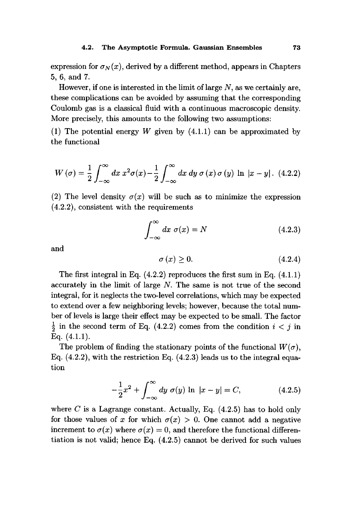expression for  $\sigma_N(x)$ , derived by a different method, appears in Chapters 5, 6, and 7.

However, if one is interested in the limit of large *N,* as we certainly are, these complications can be avoided by assuming that the corresponding Coulomb gas is a classical fluid with a continuous macroscopic density. More precisely, this amounts to the following two assumptions:

(1) The potential energy *W* given by (4.1.1) can be approximated by the functional

$$
W\left(\sigma\right) = \frac{1}{2} \int_{-\infty}^{\infty} dx \ x^2 \sigma(x) - \frac{1}{2} \int_{-\infty}^{\infty} dx \ dy \ \sigma\left(x\right) \sigma\left(y\right) \ \ln\ \left|x - y\right|. \tag{4.2.2}
$$

(2) The level density  $\sigma(x)$  will be such as to minimize the expression (4.2.2), consistent with the requirements

$$
\int_{-\infty}^{\infty} dx \sigma(x) = N \tag{4.2.3}
$$

and

$$
\sigma(x) \ge 0. \tag{4.2.4}
$$

The first integral in Eq. (4.2.2) reproduces the first sum in Eq. (4.1.1) accurately in the limit of large *N.* The same is not true of the second integral, for it neglects the two-level correlations, which may be expected to extend over a few neighboring levels; however, because the total number of levels is large their effect may be expected to be small. The factor  $\frac{1}{2}$  in the second term of Eq. (4.2.2) comes from the condition  $i < j$  in Eq.  $(4.1.1)$ .

The problem of finding the stationary points of the functional  $W(\sigma)$ , Eq.  $(4.2.2)$ , with the restriction Eq.  $(4.2.3)$  leads us to the integral equation

$$
-\frac{1}{2}x^2 + \int_{-\infty}^{\infty} dy \sigma(y) \ln |x - y| = C,
$$
 (4.2.5)

where *C* is a Lagrange constant. Actually, Eq. (4.2.5) has to hold only for those values of x for which  $\sigma(x) > 0$ . One cannot add a negative increment to  $\sigma(x)$  where  $\sigma(x) = 0$ , and therefore the functional differentiation is not valid; hence Eq. (4.2.5) cannot be derived for such values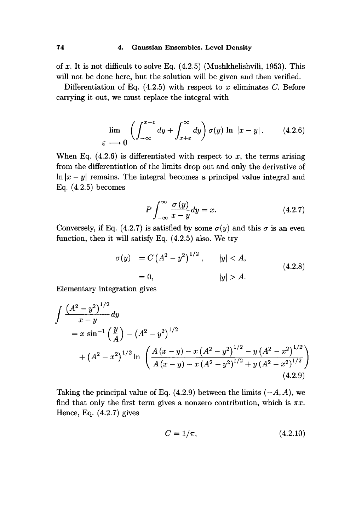#### **74 4. Gaussian Ensembles. Level Density**

of *x.* It is not difficult to solve Eq. (4.2.5) (Mushkhelishvili, 1953). This will not be done here, but the solution will be given and then verified.

Differentiation of Eq. (4.2.5) with respect to *x* eliminates C. Before carrying it out, we must replace the integral with

$$
\lim_{\varepsilon \longrightarrow 0} \left( \int_{-\infty}^{x-\varepsilon} dy + \int_{x+\varepsilon}^{\infty} dy \right) \sigma(y) \ln |x-y|.
$$
 (4.2.6)

When Eq.  $(4.2.6)$  is differentiated with respect to x, the terms arising from the differentiation of the limits drop out and only the derivative of  $\ln |x-y|$  remains. The integral becomes a principal value integral and Eq. (4.2.5) becomes

$$
P \int_{-\infty}^{\infty} \frac{\sigma(y)}{x - y} dy = x.
$$
 (4.2.7)

Conversely, if Eq. (4.2.7) is satisfied by some  $\sigma(y)$  and this  $\sigma$  is an even function, then it will satisfy Eq. (4.2.5) also. We try

$$
\sigma(y) = C (A^{2} - y^{2})^{1/2}, \t |y| < A,
$$
  
= 0, \t |y| > A. \t(4.2.8)

Elementary integration gives

$$
\int \frac{\left(A^2 - y^2\right)^{1/2}}{x - y} dy
$$
\n
$$
= x \sin^{-1} \left(\frac{y}{A}\right) - \left(A^2 - y^2\right)^{1/2}
$$
\n
$$
+ \left(A^2 - x^2\right)^{1/2} \ln \left(\frac{A\left(x - y\right) - x\left(A^2 - y^2\right)^{1/2} - y\left(A^2 - x^2\right)^{1/2}}{A\left(x - y\right) - x\left(A^2 - y^2\right)^{1/2} + y\left(A^2 - x^2\right)^{1/2}}\right)
$$
\n(4.2.9)

Taking the principal value of Eq. (4.2.9) between the limits *(—A, A),* we find that only the first term gives a nonzero contribution, which is  $\pi x$ . Hence, Eq. (4.2.7) gives

$$
C = 1/\pi, \tag{4.2.10}
$$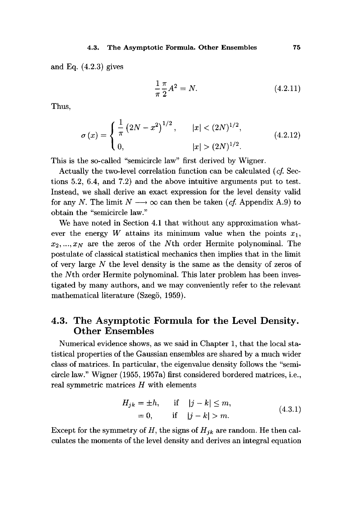and Eq.  $(4.2.3)$  gives

$$
\frac{1}{\pi} \frac{\pi}{2} A^2 = N.
$$
 (4.2.11)

Thus,

$$
\sigma(x) = \begin{cases} \frac{1}{\pi} \left( 2N - x^2 \right)^{1/2}, & |x| < (2N)^{1/2}, \\ 0, & |x| > (2N)^{1/2}. \end{cases}
$$
(4.2.12)

This is the so-called "semicircle law" first derived by Wigner.

Actually the two-level correlation function can be calculated *(cf.* Sections 5.2, 6.4, and 7.2) and the above intuitive arguments put to test. Instead, we shall derive an exact expression for the level density valid for any N. The limit  $N \longrightarrow \infty$  can then be taken (*cf.* Appendix A.9) to obtain the "semicircle law."

We have noted in Section 4.1 that without any approximation whatever the energy *W* attains its minimum value when the points  $x_1$ ,  $x_2, \ldots, x_N$  are the zeros of the *Nth* order Hermite polynominal. The postulate of classical statistical mechanics then implies that in the limit of very large *N* the level density is the same as the density of zeros of the Nth order Hermite polynominal. This later problem has been investigated by many authors, and we may conveniently refer to the relevant mathematical literature (Szegö, 1959).

### **4.3. The Asymptotic Formula for the Level Density. Other Ensembles**

Numerical evidence shows, as we said in Chapter 1, that the local statistical properties of the Gaussian ensembles are shared by a much wider class of matrices. In particular, the eigenvalue density follows the "semicircle law." Wigner (1955, 1957a) first considered bordered matrices, i.e., real symmetric matrices *H* with elements

$$
H_{jk} = \pm h, \quad \text{if} \quad |j - k| \le m, = 0, \quad \text{if} \quad |j - k| > m.
$$
 (4.3.1)

Except for the symmetry of  $H$ , the signs of  $H_{ik}$  are random. He then calculates the moments of the level density and derives an integral equation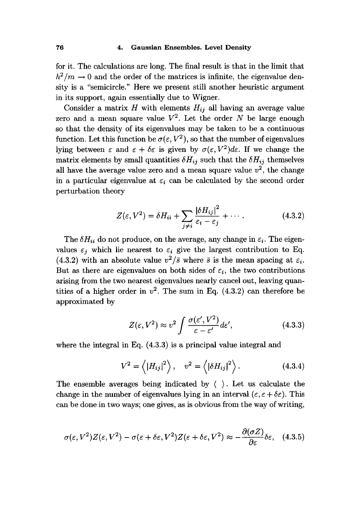for it. The calculations are long. The final result is that in the limit that  $h^2/m \to 0$  and the order of the matrices is infinite, the eigenvalue density is a "semicircle." Here we present still another heuristic argument in its support, again essentially due to Wigner.

Consider a matrix  $H$  with elements  $H_{ij}$  all having an average value zero and a mean square value *V2 .* Let the order *N* be large enough so that the density of its eigenvalues may be taken to be a continuous function. Let this function be  $\sigma(\varepsilon, V^2)$ , so that the number of eigenvalues lying between  $\varepsilon$  and  $\varepsilon + \delta \varepsilon$  is given by  $\sigma(\varepsilon, V^2) d\varepsilon$ . If we change the matrix elements by small quantities  $\delta H_{ij}$  such that the  $\delta H_{ij}$  themselves all have the average value zero and a mean square value  $v^2$ , the change in a particular eigenvalue at  $\varepsilon_i$  can be calculated by the second order perturbation theory

$$
Z(\varepsilon, V^2) = \delta H_{ii} + \sum_{j \neq i} \frac{|\delta H_{ij}|^2}{\varepsilon_i - \varepsilon_j} + \cdots. \tag{4.3.2}
$$

The  $\delta H_{ii}$  do not produce, on the average, any change in  $\varepsilon_i$ . The eigenvalues  $\varepsilon_i$  which lie nearest to  $\varepsilon_i$  give the largest contribution to Eq. (4.3.2) with an absolute value  $v^2/\bar{s}$  where  $\bar{s}$  is the mean spacing at  $\varepsilon_i$ . But as there are eigenvalues on both sides of  $\varepsilon_i$ , the two contributions arising from the two nearest eigenvalues nearly cancel out, leaving quantities of a higher order in  $v^2$ . The sum in Eq.  $(4.3.2)$  can therefore be approximated by

$$
Z(\varepsilon, V^2) \approx v^2 \int \frac{\sigma(\varepsilon', V^2)}{\varepsilon - \varepsilon'} d\varepsilon', \tag{4.3.3}
$$

where the integral in Eq. (4.3.3) is a principal value integral and

$$
V^{2} = \langle |H_{ij}|^{2} \rangle, \quad v^{2} = \langle |\delta H_{ij}|^{2} \rangle.
$$
 (4.3.4)

The ensemble averages being indicated by ( ). Let us calculate the change in the number of eigenvalues lying in an interval  $(\varepsilon, \varepsilon + \delta \varepsilon)$ . This can be done in two ways; one gives, as is obvious from the way of writing,

$$
\sigma(\varepsilon, V^2)Z(\varepsilon, V^2) - \sigma(\varepsilon + \delta \varepsilon, V^2)Z(\varepsilon + \delta \varepsilon, V^2) \approx -\frac{\partial(\sigma Z)}{\partial \varepsilon}\delta \varepsilon, \quad (4.3.5)
$$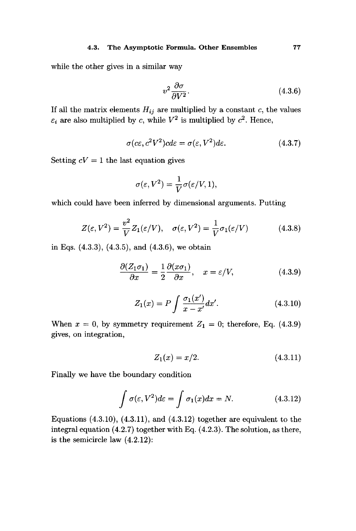#### **4.3. The Asymptotic Formula. Other Ensembles 77**

while the other gives in a similar way

$$
v^2 \frac{\partial \sigma}{\partial V^2}.
$$
\n(4.3.6)

If all the matrix elements  $H_{ij}$  are multiplied by a constant c, the values  $\varepsilon_i$  are also multiplied by c, while  $V^2$  is multiplied by  $c^2$ . Hence,

$$
\sigma(c\varepsilon, c^2V^2)cd\varepsilon = \sigma(\varepsilon, V^2)d\varepsilon.
$$
\n(4.3.7)

Setting  $cV = 1$  the last equation gives

$$
\sigma(\varepsilon,V^2) = \frac{1}{V}\sigma(\varepsilon/V,1),
$$

which could have been inferred by dimensional arguments. Putting

$$
Z(\varepsilon, V^2) = \frac{v^2}{V} Z_1(\varepsilon/V), \quad \sigma(\varepsilon, V^2) = \frac{1}{V} \sigma_1(\varepsilon/V) \tag{4.3.8}
$$

in Eqs. (4.3.3), (4.3.5), and (4.3.6), we obtain

$$
\frac{\partial (Z_1 \sigma_1)}{\partial x} = \frac{1}{2} \frac{\partial (x \sigma_1)}{\partial x}, \quad x = \varepsilon / V,
$$
\n(4.3.9)

$$
Z_1(x) = P \int \frac{\sigma_1(x')}{x - x'} dx'.
$$
 (4.3.10)

When  $x = 0$ , by symmetry requirement  $Z_1 = 0$ ; therefore, Eq. (4.3.9) gives, on integration,

$$
Z_1(x) = x/2. \t\t(4.3.11)
$$

Finally we have the boundary condition

$$
\int \sigma(\varepsilon, V^2) d\varepsilon = \int \sigma_1(x) dx = N.
$$
 (4.3.12)

Equations  $(4.3.10)$ ,  $(4.3.11)$ , and  $(4.3.12)$  together are equivalent to the integral equation (4.2.7) together with Eq. (4.2.3). The solution, as there, is the semicircle law (4.2.12):